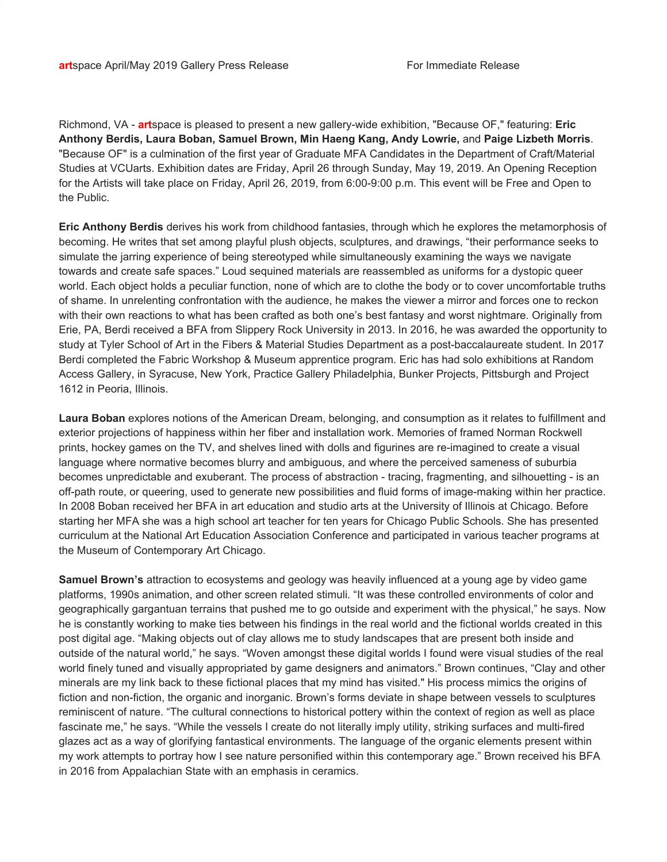Richmond, VA - **art**space is pleased to present a new gallery-wide exhibition, "Because OF," featuring: **Eric Anthony Berdis, Laura Boban, Samuel Brown, Min Haeng Kang, Andy Lowrie,** and **Paige Lizbeth Morris**. "Because OF" is a culmination of the first year of Graduate MFA Candidates in the Department of Craft/Material Studies at VCUarts. Exhibition dates are Friday, April 26 through Sunday, May 19, 2019. An Opening Reception for the Artists will take place on Friday, April 26, 2019, from 6:00-9:00 p.m. This event will be Free and Open to the Public.

**Eric Anthony Berdis** derives his work from childhood fantasies, through which he explores the metamorphosis of becoming. He writes that set among playful plush objects, sculptures, and drawings, "their performance seeks to simulate the jarring experience of being stereotyped while simultaneously examining the ways we navigate towards and create safe spaces." Loud sequined materials are reassembled as uniforms for a dystopic queer world. Each object holds a peculiar function, none of which are to clothe the body or to cover uncomfortable truths of shame. In unrelenting confrontation with the audience, he makes the viewer a mirror and forces one to reckon with their own reactions to what has been crafted as both one's best fantasy and worst nightmare. Originally from Erie, PA, Berdi received a BFA from Slippery Rock University in 2013. In 2016, he was awarded the opportunity to study at Tyler School of Art in the Fibers & Material Studies Department as a post-baccalaureate student. In 2017 Berdi completed the Fabric Workshop & Museum apprentice program. Eric has had solo exhibitions at Random Access Gallery, in Syracuse, New York, Practice Gallery Philadelphia, Bunker Projects, Pittsburgh and Project 1612 in Peoria, Illinois.

**Laura Boban** explores notions of the American Dream, belonging, and consumption as it relates to fulfillment and exterior projections of happiness within her fiber and installation work. Memories of framed Norman Rockwell prints, hockey games on the TV, and shelves lined with dolls and figurines are re-imagined to create a visual language where normative becomes blurry and ambiguous, and where the perceived sameness of suburbia becomes unpredictable and exuberant. The process of abstraction - tracing, fragmenting, and silhouetting - is an off-path route, or queering, used to generate new possibilities and fluid forms of image-making within her practice. In 2008 Boban received her BFA in art education and studio arts at the University of Illinois at Chicago. Before starting her MFA she was a high school art teacher for ten years for Chicago Public Schools. She has presented curriculum at the National Art Education Association Conference and participated in various teacher programs at the Museum of Contemporary Art Chicago.

**Samuel Brown's** attraction to ecosystems and geology was heavily influenced at a young age by video game platforms, 1990s animation, and other screen related stimuli. "It was these controlled environments of color and geographically gargantuan terrains that pushed me to go outside and experiment with the physical," he says. Now he is constantly working to make ties between his findings in the real world and the fictional worlds created in this post digital age. "Making objects out of clay allows me to study landscapes that are present both inside and outside of the natural world," he says. "Woven amongst these digital worlds I found were visual studies of the real world finely tuned and visually appropriated by game designers and animators." Brown continues, "Clay and other minerals are my link back to these fictional places that my mind has visited." His process mimics the origins of fiction and non-fiction, the organic and inorganic. Brown's forms deviate in shape between vessels to sculptures reminiscent of nature. "The cultural connections to historical pottery within the context of region as well as place fascinate me," he says. "While the vessels I create do not literally imply utility, striking surfaces and multi-fired glazes act as a way of glorifying fantastical environments. The language of the organic elements present within my work attempts to portray how I see nature personified within this contemporary age." Brown received his BFA in 2016 from Appalachian State with an emphasis in ceramics.